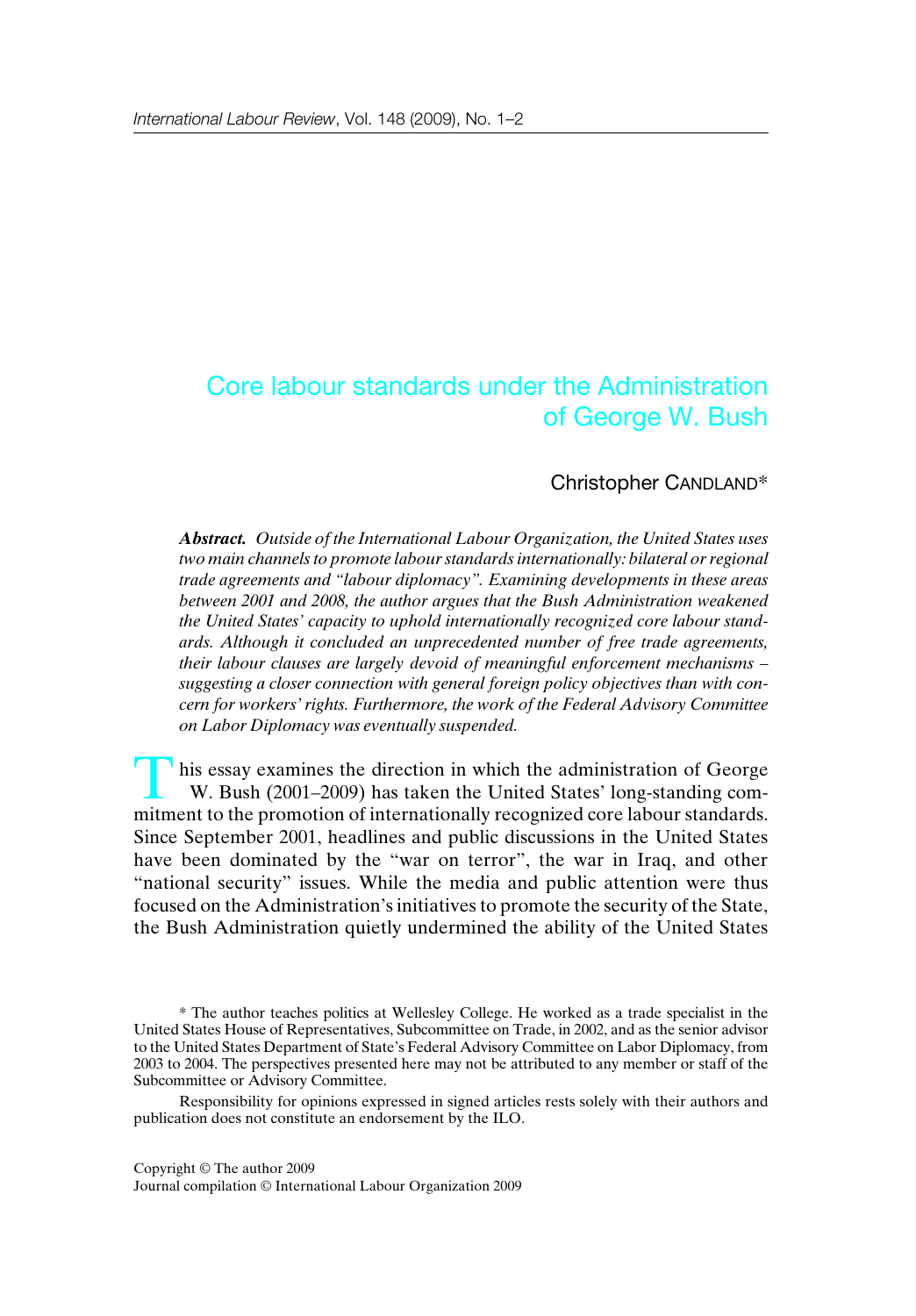# Core labour standards under the Administration of George W. Bush

### Christopher CANDLAND\*

*Abstract. Outside of the International Labour Organization, the United States uses two main channels to promote labour standards internationally: bilateral or regional trade agreements and "labour diplomacy". Examining developments in these areas between 2001 and 2008, the author argues that the Bush Administration weakened the United States' capacity to uphold internationally recognized core labour standards. Although it concluded an unprecedented number of free trade agreements, their labour clauses are largely devoid of meaningful enforcement mechanisms – suggesting a closer connection with general foreign policy objectives than with concern for workers' rights. Furthermore, the work of the Federal Advisory Committee on Labor Diplomacy was eventually suspended.*

his essay examines the direction in which the administration of George W. Bush (2001–2009) has taken the United States' long-standing commitment to the promotion of internationally recognized core labour standards. Since September 2001, headlines and public discussions in the United States have been dominated by the "war on terror", the war in Iraq, and other "national security" issues. While the media and public attention were thus focused on the Administration's initiatives to promote the security of the State, the Bush Administration quietly undermined the ability of the United States

Responsibility for opinions expressed in signed articles rests solely with their authors and publication does not constitute an endorsement by the ILO.

Copyright © The author 2009

Journal compilation © International Labour Organization 2009

<sup>\*</sup> The author teaches politics at Wellesley College. He worked as a trade specialist in the United States House of Representatives, Subcommittee on Trade, in 2002, and as the senior advisor to the United States Department of State's Federal Advisory Committee on Labor Diplomacy, from 2003 to 2004. The perspectives presented here may not be attributed to any member or staff of the Subcommittee or Advisory Committee.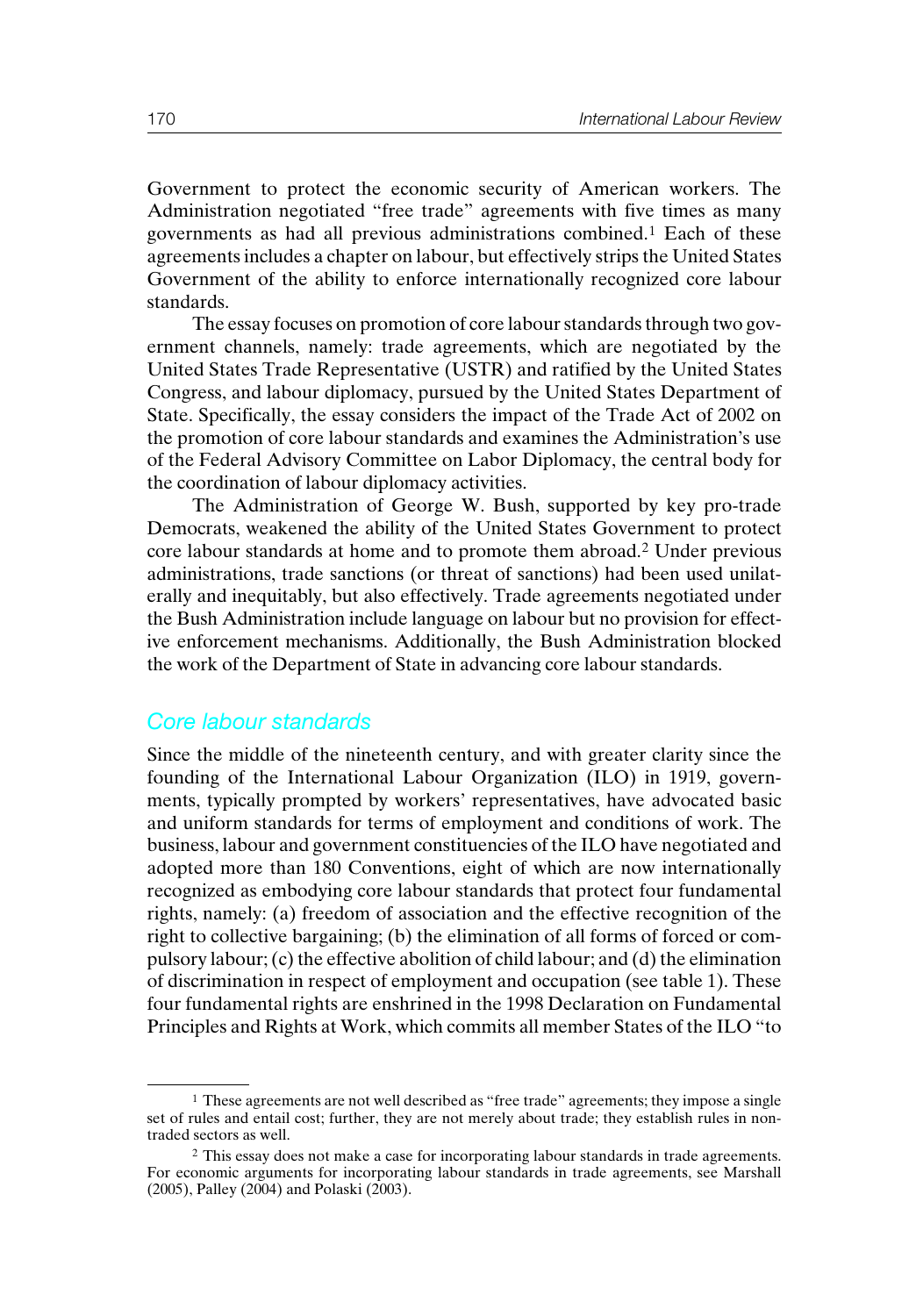Government to protect the economic security of American workers. The Administration negotiated "free trade" agreements with five times as many governments as had all previous administrations combined.1 Each of these agreements includes a chapter on labour, but effectively strips the United States Government of the ability to enforce internationally recognized core labour standards.

The essay focuses on promotion of core labour standards through two government channels, namely: trade agreements, which are negotiated by the United States Trade Representative (USTR) and ratified by the United States Congress, and labour diplomacy, pursued by the United States Department of State. Specifically, the essay considers the impact of the Trade Act of 2002 on the promotion of core labour standards and examines the Administration's use of the Federal Advisory Committee on Labor Diplomacy, the central body for the coordination of labour diplomacy activities.

The Administration of George W. Bush, supported by key pro-trade Democrats, weakened the ability of the United States Government to protect core labour standards at home and to promote them abroad.2 Under previous administrations, trade sanctions (or threat of sanctions) had been used unilaterally and inequitably, but also effectively. Trade agreements negotiated under the Bush Administration include language on labour but no provision for effective enforcement mechanisms. Additionally, the Bush Administration blocked the work of the Department of State in advancing core labour standards.

### Core labour standards

Since the middle of the nineteenth century, and with greater clarity since the founding of the International Labour Organization (ILO) in 1919, governments, typically prompted by workers' representatives, have advocated basic and uniform standards for terms of employment and conditions of work. The business, labour and government constituencies of the ILO have negotiated and adopted more than 180 Conventions, eight of which are now internationally recognized as embodying core labour standards that protect four fundamental rights, namely: (a) freedom of association and the effective recognition of the right to collective bargaining; (b) the elimination of all forms of forced or compulsory labour; (c) the effective abolition of child labour; and (d) the elimination of discrimination in respect of employment and occupation (see table 1). These four fundamental rights are enshrined in the 1998 Declaration on Fundamental Principles and Rights at Work, which commits all member States of the ILO "to

<sup>1</sup> These agreements are not well described as "free trade" agreements; they impose a single set of rules and entail cost; further, they are not merely about trade; they establish rules in nontraded sectors as well.

<sup>2</sup> This essay does not make a case for incorporating labour standards in trade agreements. For economic arguments for incorporating labour standards in trade agreements, see Marshall (2005), Palley (2004) and Polaski (2003).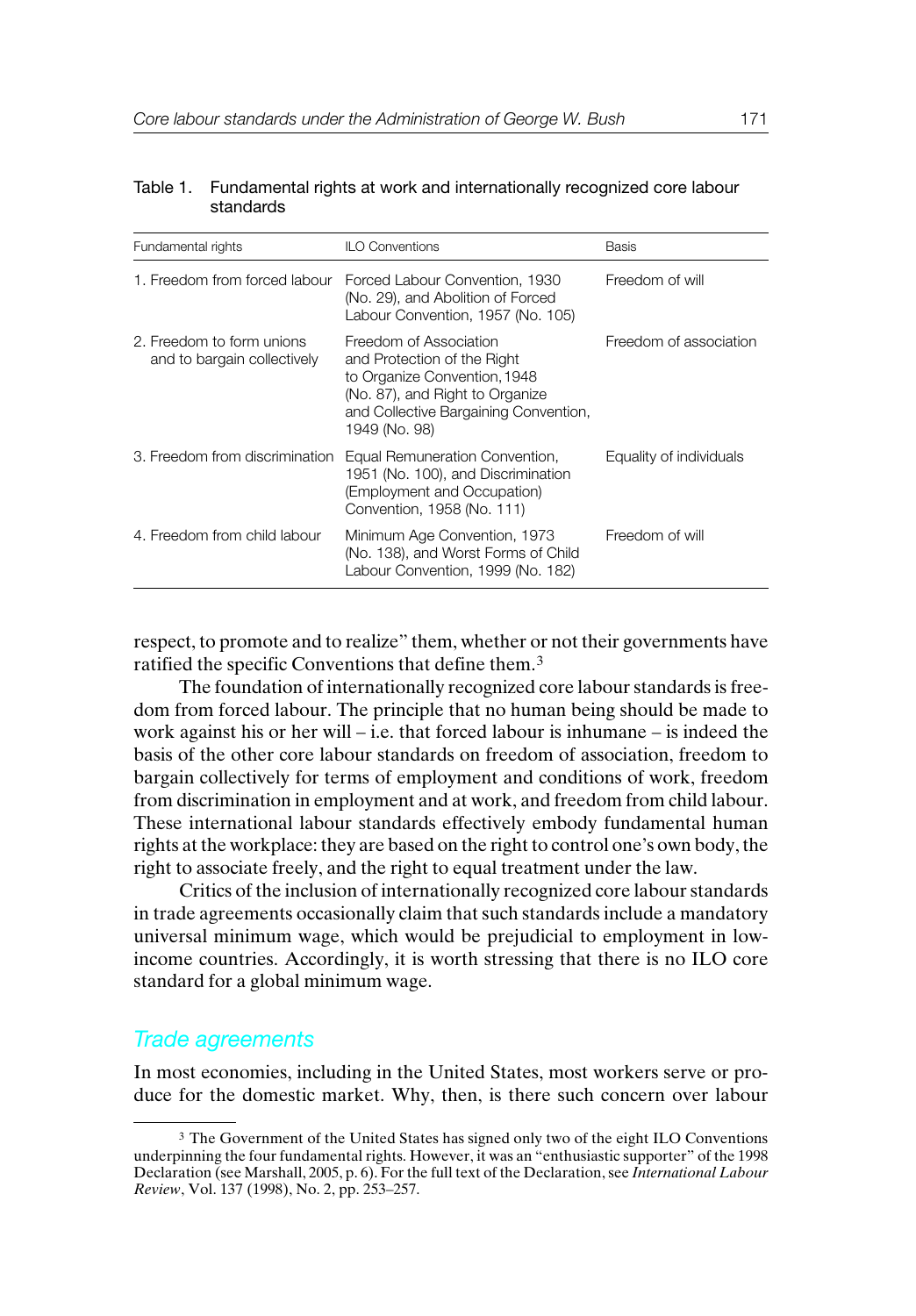| Fundamental rights                                       | <b>ILO Conventions</b>                                                                                                                                                             | <b>Basis</b>            |
|----------------------------------------------------------|------------------------------------------------------------------------------------------------------------------------------------------------------------------------------------|-------------------------|
| 1. Freedom from forced labour                            | Forced Labour Convention, 1930<br>(No. 29), and Abolition of Forced<br>Labour Convention, 1957 (No. 105)                                                                           | Freedom of will         |
| 2. Freedom to form unions<br>and to bargain collectively | Freedom of Association<br>and Protection of the Right<br>to Organize Convention, 1948<br>(No. 87), and Right to Organize<br>and Collective Bargaining Convention,<br>1949 (No. 98) | Freedom of association  |
| 3. Freedom from discrimination                           | Equal Remuneration Convention,<br>1951 (No. 100), and Discrimination<br>(Employment and Occupation)<br>Convention, 1958 (No. 111)                                                  | Equality of individuals |
| 4. Freedom from child labour                             | Minimum Age Convention, 1973<br>(No. 138), and Worst Forms of Child<br>Labour Convention, 1999 (No. 182)                                                                           | Freedom of will         |

| Table 1. | Fundamental rights at work and internationally recognized core labour |
|----------|-----------------------------------------------------------------------|
|          | standards                                                             |

respect, to promote and to realize" them, whether or not their governments have ratified the specific Conventions that define them.3

The foundation of internationally recognized core labour standards is freedom from forced labour. The principle that no human being should be made to work against his or her will – i.e. that forced labour is inhumane – is indeed the basis of the other core labour standards on freedom of association, freedom to bargain collectively for terms of employment and conditions of work, freedom from discrimination in employment and at work, and freedom from child labour. These international labour standards effectively embody fundamental human rights at the workplace: they are based on the right to control one's own body, the right to associate freely, and the right to equal treatment under the law.

Critics of the inclusion of internationally recognized core labour standards in trade agreements occasionally claim that such standards include a mandatory universal minimum wage, which would be prejudicial to employment in lowincome countries. Accordingly, it is worth stressing that there is no ILO core standard for a global minimum wage.

### Trade agreements

In most economies, including in the United States, most workers serve or produce for the domestic market. Why, then, is there such concern over labour

<sup>3</sup> The Government of the United States has signed only two of the eight ILO Conventions underpinning the four fundamental rights. However, it was an "enthusiastic supporter" of the 1998 Declaration (see Marshall, 2005, p. 6). For the full text of the Declaration, see *International Labour Review*, Vol. 137 (1998), No. 2, pp. 253–257.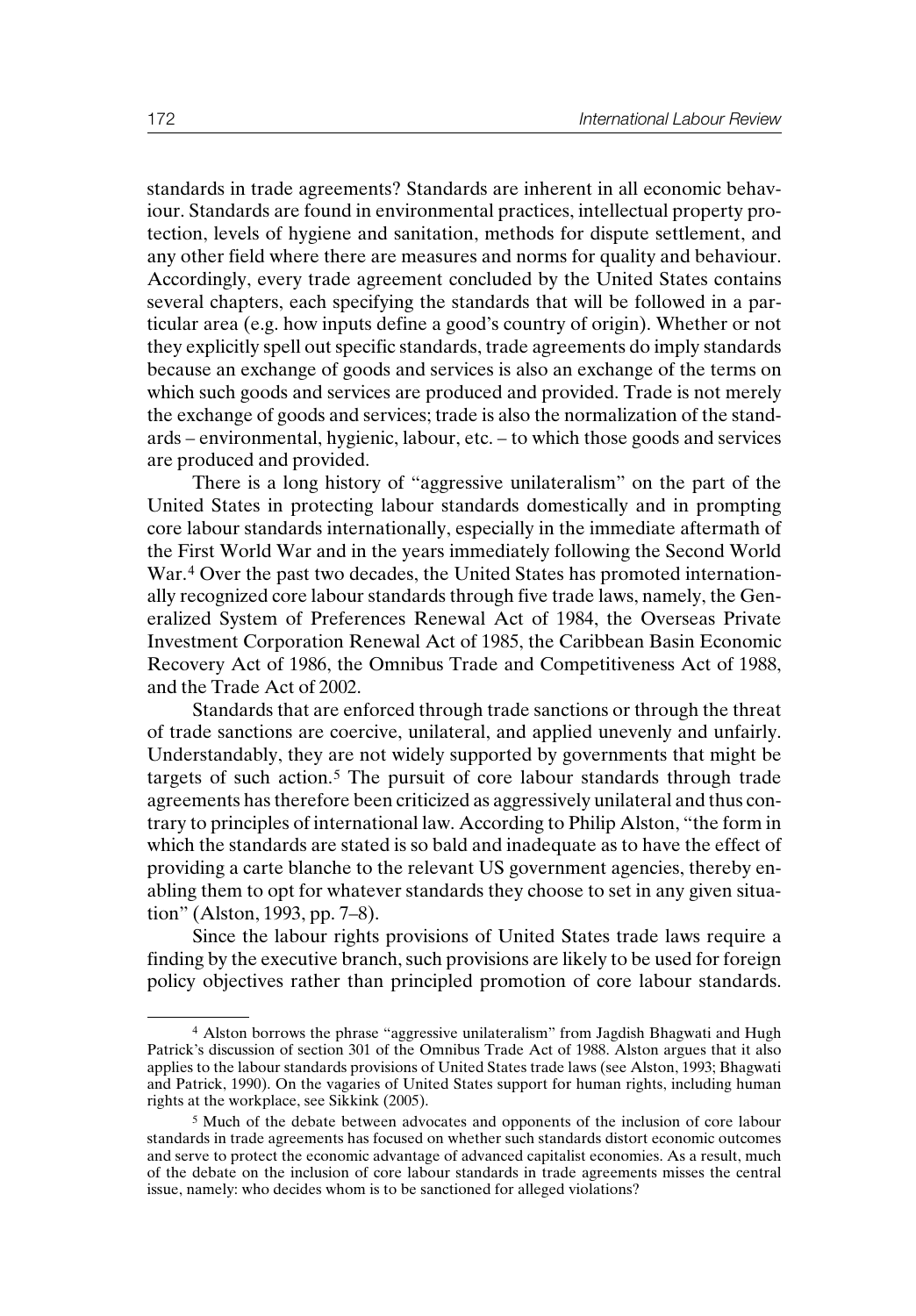standards in trade agreements? Standards are inherent in all economic behaviour. Standards are found in environmental practices, intellectual property protection, levels of hygiene and sanitation, methods for dispute settlement, and any other field where there are measures and norms for quality and behaviour. Accordingly, every trade agreement concluded by the United States contains several chapters, each specifying the standards that will be followed in a particular area (e.g. how inputs define a good's country of origin). Whether or not they explicitly spell out specific standards, trade agreements do imply standards because an exchange of goods and services is also an exchange of the terms on which such goods and services are produced and provided. Trade is not merely the exchange of goods and services; trade is also the normalization of the standards – environmental, hygienic, labour, etc. – to which those goods and services are produced and provided.

There is a long history of "aggressive unilateralism" on the part of the United States in protecting labour standards domestically and in prompting core labour standards internationally, especially in the immediate aftermath of the First World War and in the years immediately following the Second World War.4 Over the past two decades, the United States has promoted internationally recognized core labour standards through five trade laws, namely, the Generalized System of Preferences Renewal Act of 1984, the Overseas Private Investment Corporation Renewal Act of 1985, the Caribbean Basin Economic Recovery Act of 1986, the Omnibus Trade and Competitiveness Act of 1988, and the Trade Act of 2002.

Standards that are enforced through trade sanctions or through the threat of trade sanctions are coercive, unilateral, and applied unevenly and unfairly. Understandably, they are not widely supported by governments that might be targets of such action.5 The pursuit of core labour standards through trade agreements has therefore been criticized as aggressively unilateral and thus contrary to principles of international law. According to Philip Alston, "the form in which the standards are stated is so bald and inadequate as to have the effect of providing a carte blanche to the relevant US government agencies, thereby enabling them to opt for whatever standards they choose to set in any given situation" (Alston, 1993, pp. 7–8).

Since the labour rights provisions of United States trade laws require a finding by the executive branch, such provisions are likely to be used for foreign policy objectives rather than principled promotion of core labour standards.

<sup>4</sup> Alston borrows the phrase "aggressive unilateralism" from Jagdish Bhagwati and Hugh Patrick's discussion of section 301 of the Omnibus Trade Act of 1988. Alston argues that it also applies to the labour standards provisions of United States trade laws (see Alston, 1993; Bhagwati and Patrick, 1990). On the vagaries of United States support for human rights, including human rights at the workplace, see Sikkink (2005).

<sup>5</sup> Much of the debate between advocates and opponents of the inclusion of core labour standards in trade agreements has focused on whether such standards distort economic outcomes and serve to protect the economic advantage of advanced capitalist economies. As a result, much of the debate on the inclusion of core labour standards in trade agreements misses the central issue, namely: who decides whom is to be sanctioned for alleged violations?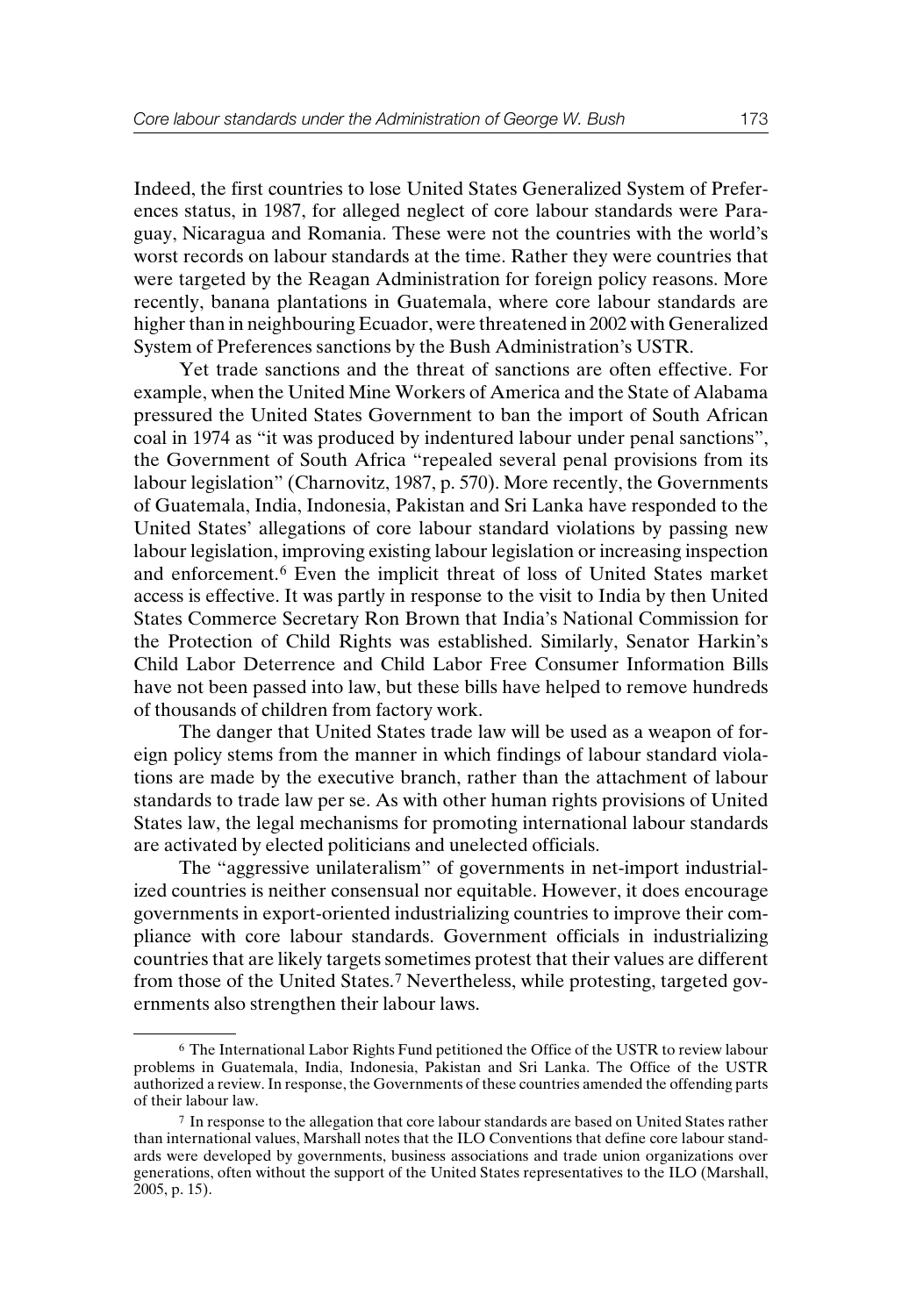Indeed, the first countries to lose United States Generalized System of Preferences status, in 1987, for alleged neglect of core labour standards were Paraguay, Nicaragua and Romania. These were not the countries with the world's worst records on labour standards at the time. Rather they were countries that were targeted by the Reagan Administration for foreign policy reasons. More recently, banana plantations in Guatemala, where core labour standards are higher than in neighbouring Ecuador, were threatened in 2002 with Generalized System of Preferences sanctions by the Bush Administration's USTR.

Yet trade sanctions and the threat of sanctions are often effective. For example, when the United Mine Workers of America and the State of Alabama pressured the United States Government to ban the import of South African coal in 1974 as "it was produced by indentured labour under penal sanctions", the Government of South Africa "repealed several penal provisions from its labour legislation" (Charnovitz, 1987, p. 570). More recently, the Governments of Guatemala, India, Indonesia, Pakistan and Sri Lanka have responded to the United States' allegations of core labour standard violations by passing new labour legislation, improving existing labour legislation or increasing inspection and enforcement.6 Even the implicit threat of loss of United States market access is effective. It was partly in response to the visit to India by then United States Commerce Secretary Ron Brown that India's National Commission for the Protection of Child Rights was established. Similarly, Senator Harkin's Child Labor Deterrence and Child Labor Free Consumer Information Bills have not been passed into law, but these bills have helped to remove hundreds of thousands of children from factory work.

The danger that United States trade law will be used as a weapon of foreign policy stems from the manner in which findings of labour standard violations are made by the executive branch, rather than the attachment of labour standards to trade law per se. As with other human rights provisions of United States law, the legal mechanisms for promoting international labour standards are activated by elected politicians and unelected officials.

The "aggressive unilateralism" of governments in net-import industrialized countries is neither consensual nor equitable. However, it does encourage governments in export-oriented industrializing countries to improve their compliance with core labour standards. Government officials in industrializing countries that are likely targets sometimes protest that their values are different from those of the United States.7 Nevertheless, while protesting, targeted governments also strengthen their labour laws.

<sup>6</sup> The International Labor Rights Fund petitioned the Office of the USTR to review labour problems in Guatemala, India, Indonesia, Pakistan and Sri Lanka. The Office of the USTR authorized a review. In response, the Governments of these countries amended the offending parts of their labour law.

<sup>7</sup> In response to the allegation that core labour standards are based on United States rather than international values, Marshall notes that the ILO Conventions that define core labour standards were developed by governments, business associations and trade union organizations over generations, often without the support of the United States representatives to the ILO (Marshall, 2005, p. 15).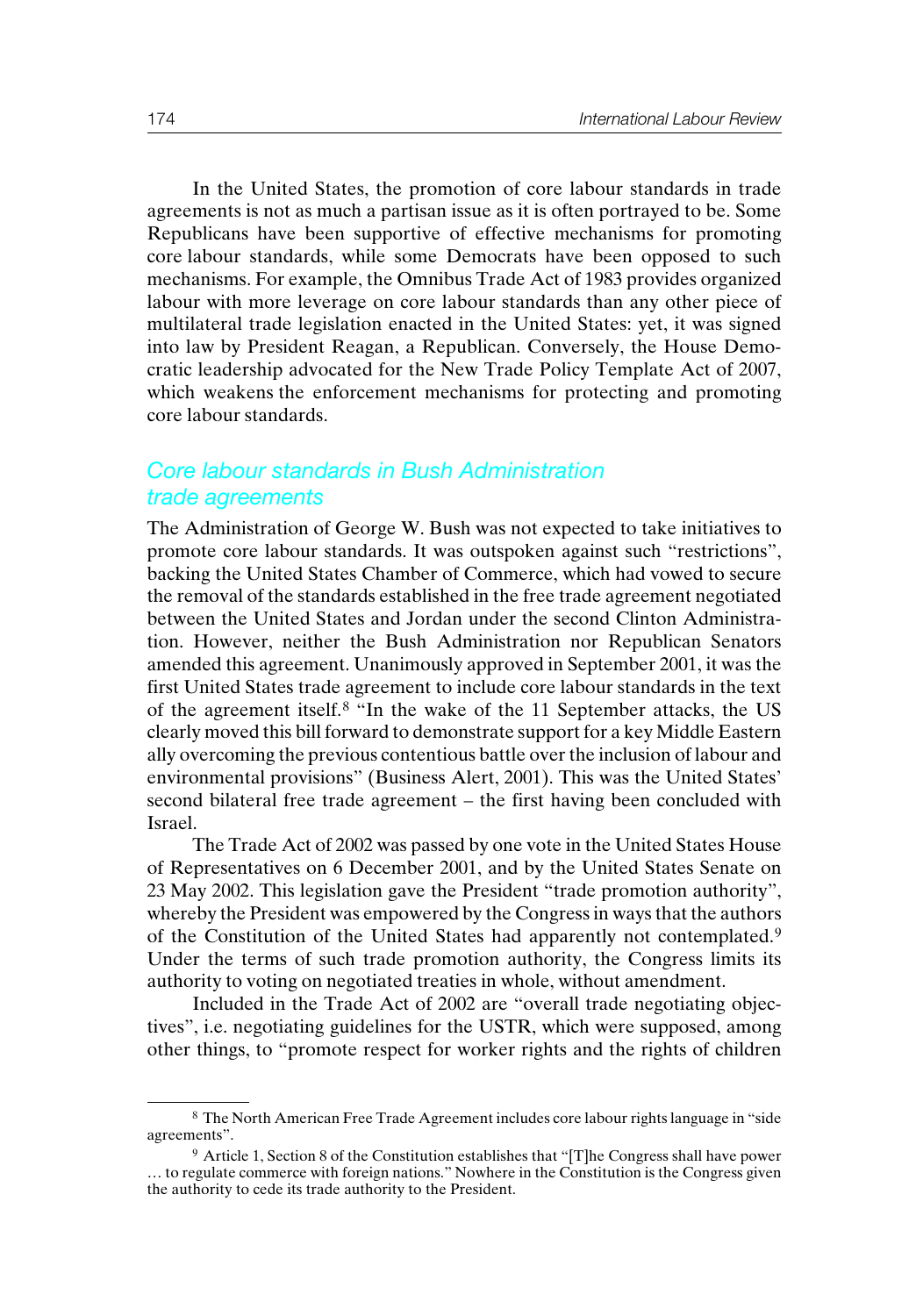In the United States, the promotion of core labour standards in trade agreements is not as much a partisan issue as it is often portrayed to be. Some Republicans have been supportive of effective mechanisms for promoting core labour standards, while some Democrats have been opposed to such mechanisms. For example, the Omnibus Trade Act of 1983 provides organized labour with more leverage on core labour standards than any other piece of multilateral trade legislation enacted in the United States: yet, it was signed into law by President Reagan, a Republican. Conversely, the House Democratic leadership advocated for the New Trade Policy Template Act of 2007, which weakens the enforcement mechanisms for protecting and promoting core labour standards.

## Core labour standards in Bush Administration trade agreements

The Administration of George W. Bush was not expected to take initiatives to promote core labour standards. It was outspoken against such "restrictions", backing the United States Chamber of Commerce, which had vowed to secure the removal of the standards established in the free trade agreement negotiated between the United States and Jordan under the second Clinton Administration. However, neither the Bush Administration nor Republican Senators amended this agreement. Unanimously approved in September 2001, it was the first United States trade agreement to include core labour standards in the text of the agreement itself.8 "In the wake of the 11 September attacks, the US clearly moved this bill forward to demonstrate support for a key Middle Eastern ally overcoming the previous contentious battle over the inclusion of labour and environmental provisions" (Business Alert, 2001). This was the United States' second bilateral free trade agreement – the first having been concluded with Israel.

The Trade Act of 2002 was passed by one vote in the United States House of Representatives on 6 December 2001, and by the United States Senate on 23 May 2002. This legislation gave the President "trade promotion authority", whereby the President was empowered by the Congress in ways that the authors of the Constitution of the United States had apparently not contemplated.9 Under the terms of such trade promotion authority, the Congress limits its authority to voting on negotiated treaties in whole, without amendment.

Included in the Trade Act of 2002 are "overall trade negotiating objectives", i.e. negotiating guidelines for the USTR, which were supposed, among other things, to "promote respect for worker rights and the rights of children

<sup>8</sup> The North American Free Trade Agreement includes core labour rights language in "side agreements".

<sup>9</sup> Article 1, Section 8 of the Constitution establishes that "[T]he Congress shall have power … to regulate commerce with foreign nations." Nowhere in the Constitution is the Congress given the authority to cede its trade authority to the President.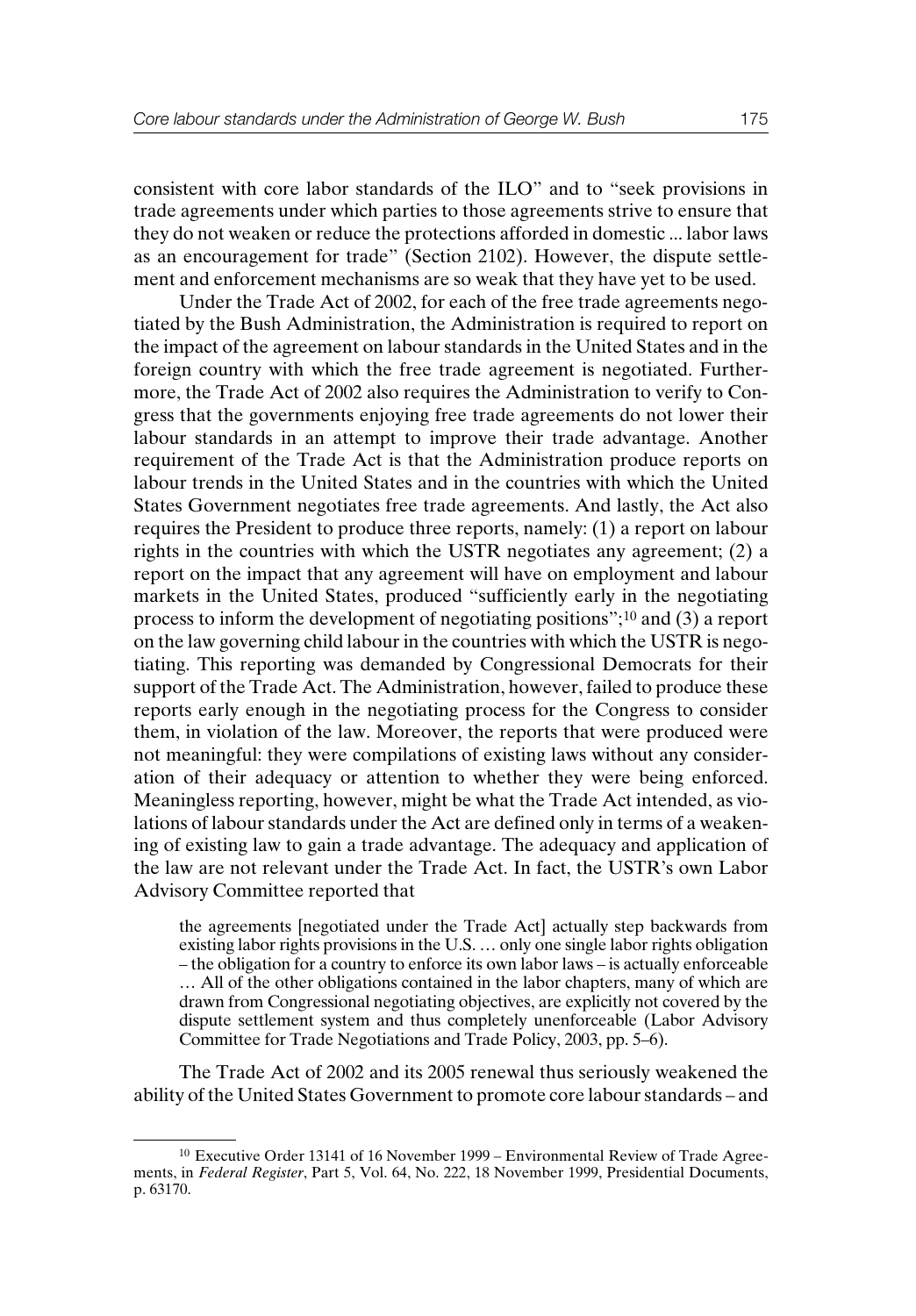consistent with core labor standards of the ILO" and to "seek provisions in trade agreements under which parties to those agreements strive to ensure that they do not weaken or reduce the protections afforded in domestic ... labor laws as an encouragement for trade" (Section 2102). However, the dispute settlement and enforcement mechanisms are so weak that they have yet to be used.

Under the Trade Act of 2002, for each of the free trade agreements negotiated by the Bush Administration, the Administration is required to report on the impact of the agreement on labour standards in the United States and in the foreign country with which the free trade agreement is negotiated. Furthermore, the Trade Act of 2002 also requires the Administration to verify to Congress that the governments enjoying free trade agreements do not lower their labour standards in an attempt to improve their trade advantage. Another requirement of the Trade Act is that the Administration produce reports on labour trends in the United States and in the countries with which the United States Government negotiates free trade agreements. And lastly, the Act also requires the President to produce three reports, namely: (1) a report on labour rights in the countries with which the USTR negotiates any agreement; (2) a report on the impact that any agreement will have on employment and labour markets in the United States, produced "sufficiently early in the negotiating process to inform the development of negotiating positions";10 and (3) a report on the law governing child labour in the countries with which the USTR is negotiating. This reporting was demanded by Congressional Democrats for their support of the Trade Act. The Administration, however, failed to produce these reports early enough in the negotiating process for the Congress to consider them, in violation of the law. Moreover, the reports that were produced were not meaningful: they were compilations of existing laws without any consideration of their adequacy or attention to whether they were being enforced. Meaningless reporting, however, might be what the Trade Act intended, as violations of labour standards under the Act are defined only in terms of a weakening of existing law to gain a trade advantage. The adequacy and application of the law are not relevant under the Trade Act. In fact, the USTR's own Labor Advisory Committee reported that

the agreements [negotiated under the Trade Act] actually step backwards from existing labor rights provisions in the U.S. … only one single labor rights obligation – the obligation for a country to enforce its own labor laws – is actually enforceable … All of the other obligations contained in the labor chapters, many of which are drawn from Congressional negotiating objectives, are explicitly not covered by the dispute settlement system and thus completely unenforceable (Labor Advisory Committee for Trade Negotiations and Trade Policy, 2003, pp. 5–6).

The Trade Act of 2002 and its 2005 renewal thus seriously weakened the ability of the United States Government to promote core labour standards – and

<sup>10</sup> Executive Order 13141 of 16 November 1999 – Environmental Review of Trade Agreements, in *Federal Register*, Part 5, Vol. 64, No. 222, 18 November 1999, Presidential Documents, p. 63170.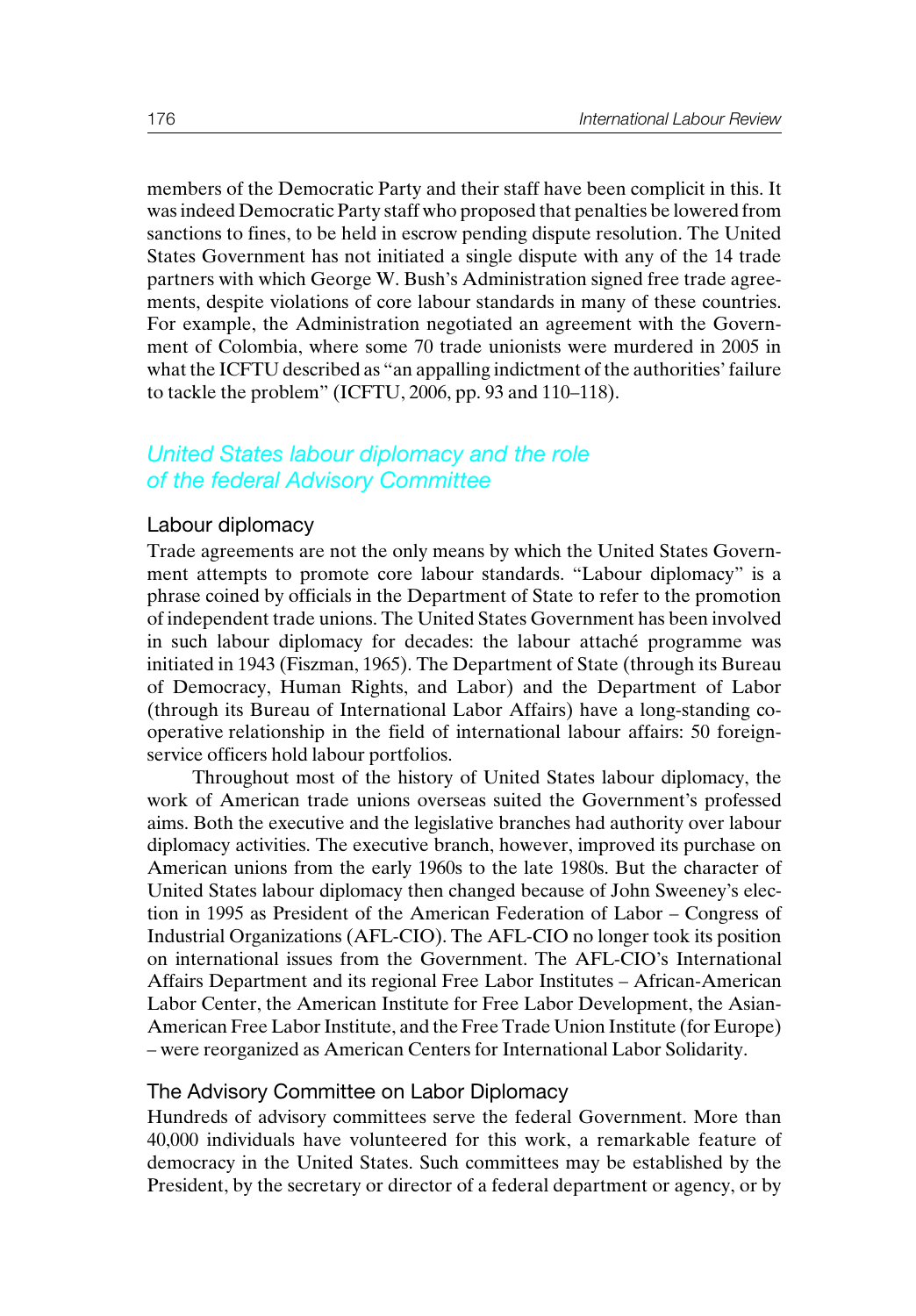members of the Democratic Party and their staff have been complicit in this. It was indeed Democratic Party staff who proposed that penalties be lowered from sanctions to fines, to be held in escrow pending dispute resolution. The United States Government has not initiated a single dispute with any of the 14 trade partners with which George W. Bush's Administration signed free trade agreements, despite violations of core labour standards in many of these countries. For example, the Administration negotiated an agreement with the Government of Colombia, where some 70 trade unionists were murdered in 2005 in what the ICFTU described as "an appalling indictment of the authorities' failure to tackle the problem" (ICFTU, 2006, pp. 93 and 110–118).

# United States labour diplomacy and the role of the federal Advisory Committee

### Labour diplomacy

Trade agreements are not the only means by which the United States Government attempts to promote core labour standards. "Labour diplomacy" is a phrase coined by officials in the Department of State to refer to the promotion of independent trade unions. The United States Government has been involved in such labour diplomacy for decades: the labour attaché programme was initiated in 1943 (Fiszman, 1965). The Department of State (through its Bureau of Democracy, Human Rights, and Labor) and the Department of Labor (through its Bureau of International Labor Affairs) have a long-standing cooperative relationship in the field of international labour affairs: 50 foreignservice officers hold labour portfolios.

Throughout most of the history of United States labour diplomacy, the work of American trade unions overseas suited the Government's professed aims. Both the executive and the legislative branches had authority over labour diplomacy activities. The executive branch, however, improved its purchase on American unions from the early 1960s to the late 1980s. But the character of United States labour diplomacy then changed because of John Sweeney's election in 1995 as President of the American Federation of Labor – Congress of Industrial Organizations (AFL-CIO). The AFL-CIO no longer took its position on international issues from the Government. The AFL-CIO's International Affairs Department and its regional Free Labor Institutes – African-American Labor Center, the American Institute for Free Labor Development, the Asian-American Free Labor Institute, and the Free Trade Union Institute (for Europe) – were reorganized as American Centers for International Labor Solidarity.

### The Advisory Committee on Labor Diplomacy

Hundreds of advisory committees serve the federal Government. More than 40,000 individuals have volunteered for this work, a remarkable feature of democracy in the United States. Such committees may be established by the President, by the secretary or director of a federal department or agency, or by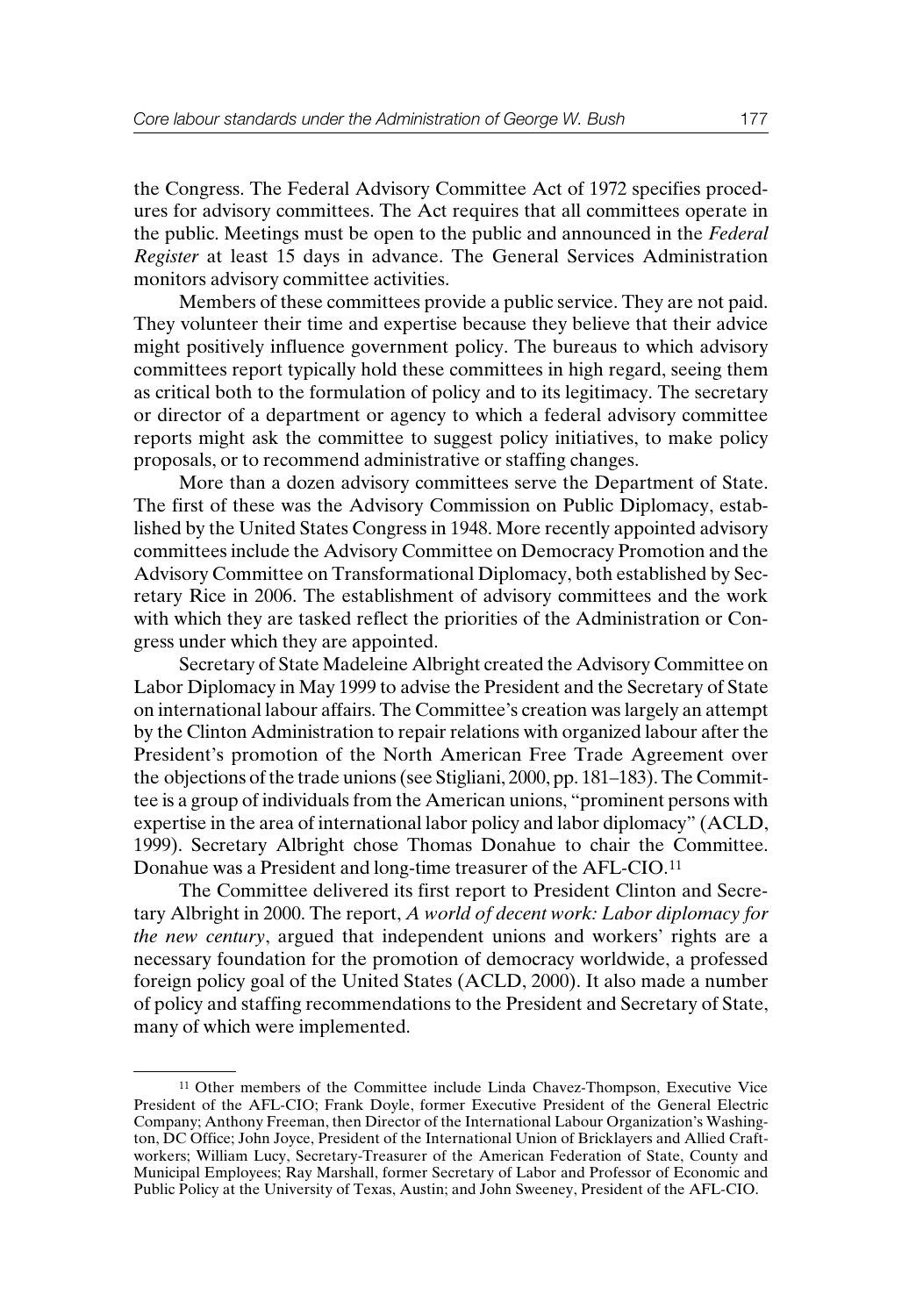the Congress. The Federal Advisory Committee Act of 1972 specifies procedures for advisory committees. The Act requires that all committees operate in the public. Meetings must be open to the public and announced in the *Federal Register* at least 15 days in advance. The General Services Administration monitors advisory committee activities.

Members of these committees provide a public service. They are not paid. They volunteer their time and expertise because they believe that their advice might positively influence government policy. The bureaus to which advisory committees report typically hold these committees in high regard, seeing them as critical both to the formulation of policy and to its legitimacy. The secretary or director of a department or agency to which a federal advisory committee reports might ask the committee to suggest policy initiatives, to make policy proposals, or to recommend administrative or staffing changes.

More than a dozen advisory committees serve the Department of State. The first of these was the Advisory Commission on Public Diplomacy, established by the United States Congress in 1948. More recently appointed advisory committees include the Advisory Committee on Democracy Promotion and the Advisory Committee on Transformational Diplomacy, both established by Secretary Rice in 2006. The establishment of advisory committees and the work with which they are tasked reflect the priorities of the Administration or Congress under which they are appointed.

Secretary of State Madeleine Albright created the Advisory Committee on Labor Diplomacy in May 1999 to advise the President and the Secretary of State on international labour affairs. The Committee's creation was largely an attempt by the Clinton Administration to repair relations with organized labour after the President's promotion of the North American Free Trade Agreement over the objections of the trade unions (see Stigliani, 2000, pp. 181–183). The Committee is a group of individuals from the American unions, "prominent persons with expertise in the area of international labor policy and labor diplomacy" (ACLD, 1999). Secretary Albright chose Thomas Donahue to chair the Committee. Donahue was a President and long-time treasurer of the AFL-CIO.11

The Committee delivered its first report to President Clinton and Secretary Albright in 2000. The report, *A world of decent work: Labor diplomacy for the new century*, argued that independent unions and workers' rights are a necessary foundation for the promotion of democracy worldwide, a professed foreign policy goal of the United States (ACLD, 2000). It also made a number of policy and staffing recommendations to the President and Secretary of State, many of which were implemented.

<sup>11</sup> Other members of the Committee include Linda Chavez-Thompson, Executive Vice President of the AFL-CIO; Frank Doyle, former Executive President of the General Electric Company; Anthony Freeman, then Director of the International Labour Organization's Washington, DC Office; John Joyce, President of the International Union of Bricklayers and Allied Craftworkers; William Lucy, Secretary-Treasurer of the American Federation of State, County and Municipal Employees; Ray Marshall, former Secretary of Labor and Professor of Economic and Public Policy at the University of Texas, Austin; and John Sweeney, President of the AFL-CIO.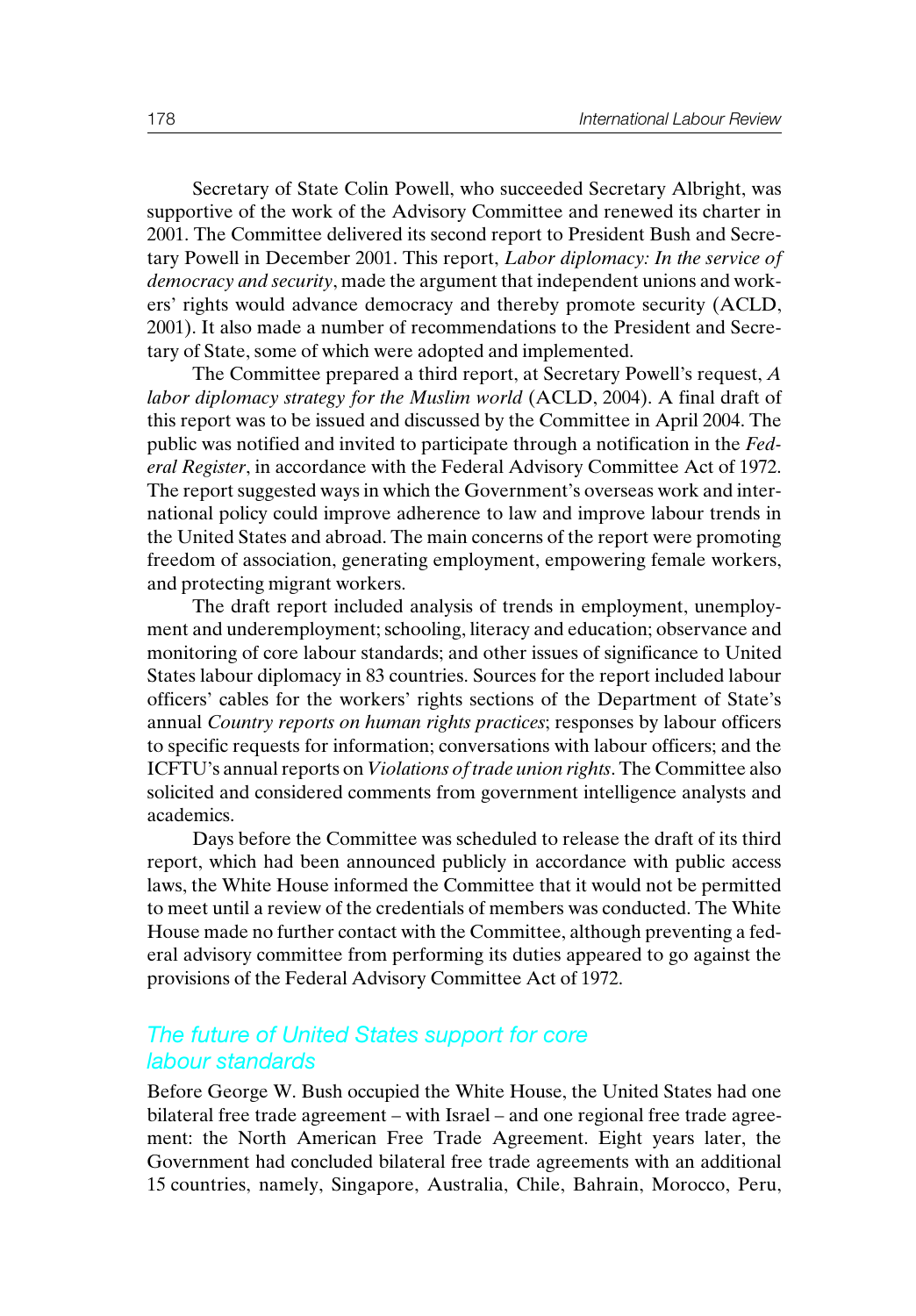Secretary of State Colin Powell, who succeeded Secretary Albright, was supportive of the work of the Advisory Committee and renewed its charter in 2001. The Committee delivered its second report to President Bush and Secretary Powell in December 2001. This report, *Labor diplomacy: In the service of democracy and security*, made the argument that independent unions and workers' rights would advance democracy and thereby promote security (ACLD, 2001). It also made a number of recommendations to the President and Secretary of State, some of which were adopted and implemented.

The Committee prepared a third report, at Secretary Powell's request, *A labor diplomacy strategy for the Muslim world* (ACLD, 2004). A final draft of this report was to be issued and discussed by the Committee in April 2004. The public was notified and invited to participate through a notification in the *Federal Register*, in accordance with the Federal Advisory Committee Act of 1972. The report suggested ways in which the Government's overseas work and international policy could improve adherence to law and improve labour trends in the United States and abroad. The main concerns of the report were promoting freedom of association, generating employment, empowering female workers, and protecting migrant workers.

The draft report included analysis of trends in employment, unemployment and underemployment; schooling, literacy and education; observance and monitoring of core labour standards; and other issues of significance to United States labour diplomacy in 83 countries. Sources for the report included labour officers' cables for the workers' rights sections of the Department of State's annual *Country reports on human rights practices*; responses by labour officers to specific requests for information; conversations with labour officers; and the ICFTU's annual reports on *Violations of trade union rights*. The Committee also solicited and considered comments from government intelligence analysts and academics.

Days before the Committee was scheduled to release the draft of its third report, which had been announced publicly in accordance with public access laws, the White House informed the Committee that it would not be permitted to meet until a review of the credentials of members was conducted. The White House made no further contact with the Committee, although preventing a federal advisory committee from performing its duties appeared to go against the provisions of the Federal Advisory Committee Act of 1972.

### The future of United States support for core labour standards

Before George W. Bush occupied the White House, the United States had one bilateral free trade agreement – with Israel – and one regional free trade agreement: the North American Free Trade Agreement. Eight years later, the Government had concluded bilateral free trade agreements with an additional 15 countries, namely, Singapore, Australia, Chile, Bahrain, Morocco, Peru,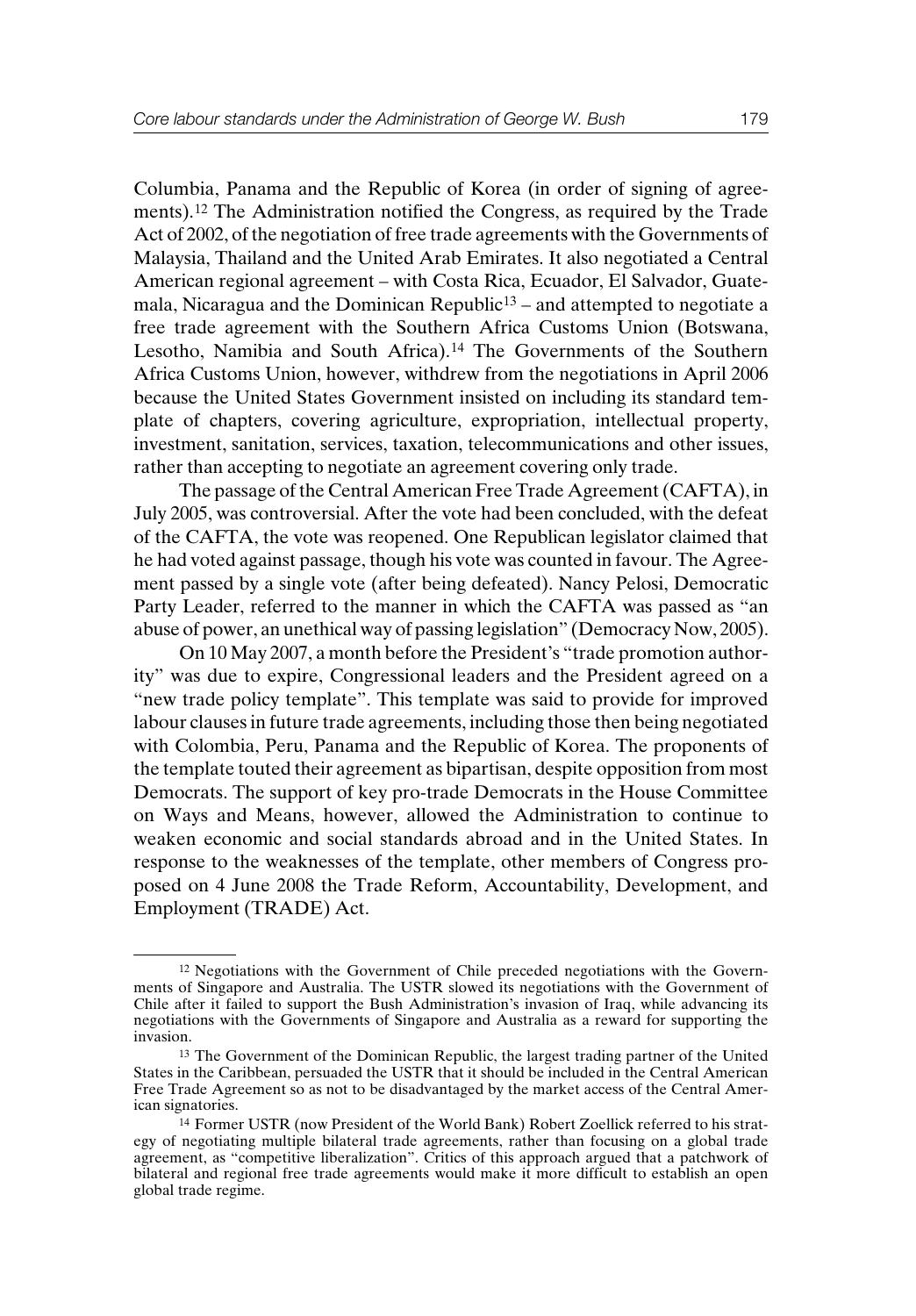Columbia, Panama and the Republic of Korea (in order of signing of agreements).12 The Administration notified the Congress, as required by the Trade Act of 2002, of the negotiation of free trade agreements with the Governments of Malaysia, Thailand and the United Arab Emirates. It also negotiated a Central American regional agreement – with Costa Rica, Ecuador, El Salvador, Guatemala, Nicaragua and the Dominican Republic<sup>13</sup> – and attempted to negotiate a free trade agreement with the Southern Africa Customs Union (Botswana, Lesotho, Namibia and South Africa).14 The Governments of the Southern Africa Customs Union, however, withdrew from the negotiations in April 2006 because the United States Government insisted on including its standard template of chapters, covering agriculture, expropriation, intellectual property, investment, sanitation, services, taxation, telecommunications and other issues, rather than accepting to negotiate an agreement covering only trade.

The passage of the Central American Free Trade Agreement (CAFTA), in July 2005, was controversial. After the vote had been concluded, with the defeat of the CAFTA, the vote was reopened. One Republican legislator claimed that he had voted against passage, though his vote was counted in favour. The Agreement passed by a single vote (after being defeated). Nancy Pelosi, Democratic Party Leader, referred to the manner in which the CAFTA was passed as "an abuse of power, an unethical way of passing legislation" (Democracy Now, 2005).

On 10 May 2007, a month before the President's "trade promotion authority" was due to expire, Congressional leaders and the President agreed on a "new trade policy template". This template was said to provide for improved labour clauses in future trade agreements, including those then being negotiated with Colombia, Peru, Panama and the Republic of Korea. The proponents of the template touted their agreement as bipartisan, despite opposition from most Democrats. The support of key pro-trade Democrats in the House Committee on Ways and Means, however, allowed the Administration to continue to weaken economic and social standards abroad and in the United States. In response to the weaknesses of the template, other members of Congress proposed on 4 June 2008 the Trade Reform, Accountability, Development, and Employment (TRADE) Act.

<sup>12</sup> Negotiations with the Government of Chile preceded negotiations with the Governments of Singapore and Australia. The USTR slowed its negotiations with the Government of Chile after it failed to support the Bush Administration's invasion of Iraq, while advancing its negotiations with the Governments of Singapore and Australia as a reward for supporting the invasion.

<sup>13</sup> The Government of the Dominican Republic, the largest trading partner of the United States in the Caribbean, persuaded the USTR that it should be included in the Central American Free Trade Agreement so as not to be disadvantaged by the market access of the Central American signatories.

<sup>&</sup>lt;sup>14</sup> Former USTR (now President of the World Bank) Robert Zoellick referred to his strategy of negotiating multiple bilateral trade agreements, rather than focusing on a global trade agreement, as "competitive liberalization". Critics of this approach argued that a patchwork of bilateral and regional free trade agreements would make it more difficult to establish an open global trade regime.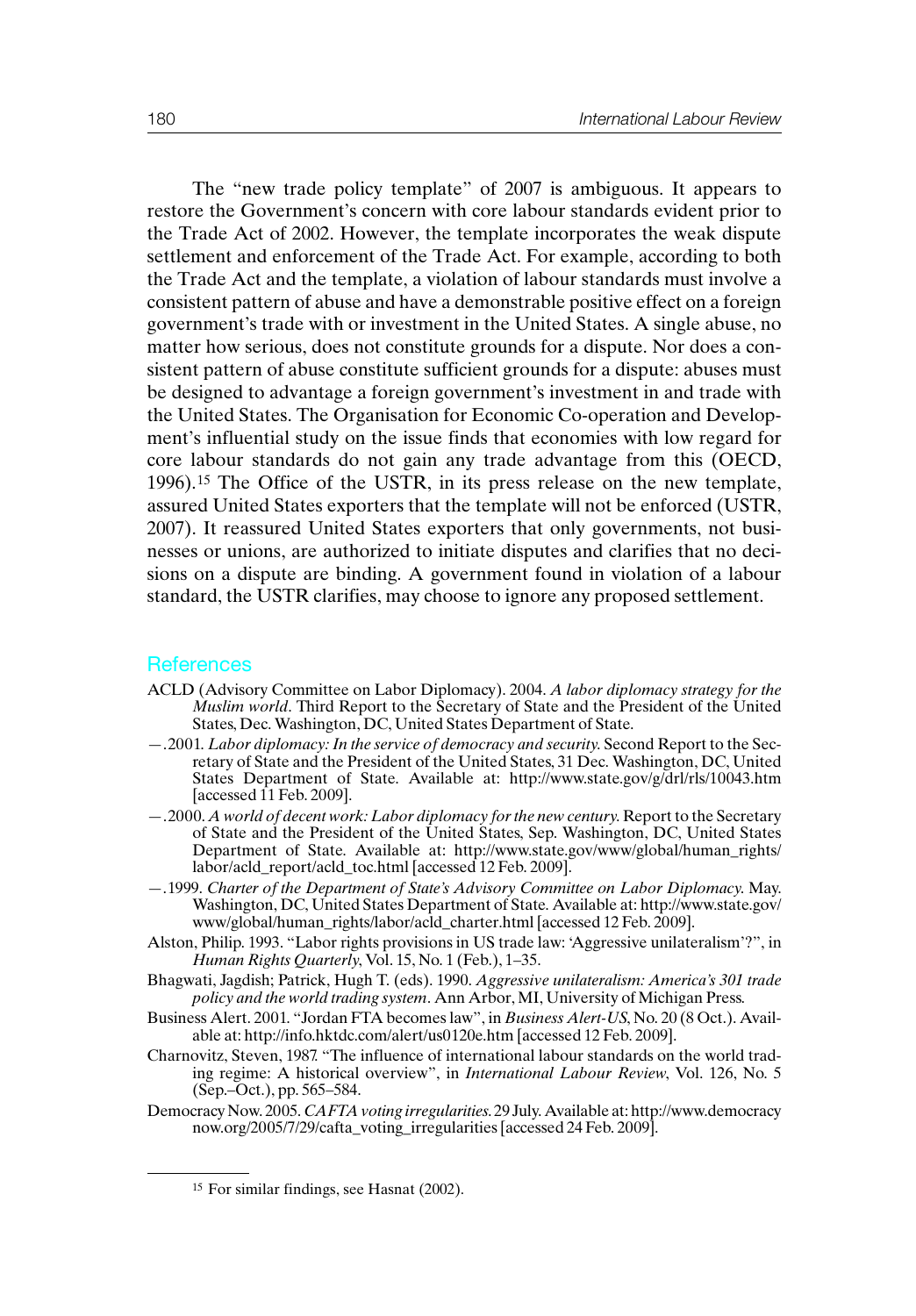The "new trade policy template" of 2007 is ambiguous. It appears to restore the Government's concern with core labour standards evident prior to the Trade Act of 2002. However, the template incorporates the weak dispute settlement and enforcement of the Trade Act. For example, according to both the Trade Act and the template, a violation of labour standards must involve a consistent pattern of abuse and have a demonstrable positive effect on a foreign government's trade with or investment in the United States. A single abuse, no matter how serious, does not constitute grounds for a dispute. Nor does a consistent pattern of abuse constitute sufficient grounds for a dispute: abuses must be designed to advantage a foreign government's investment in and trade with the United States. The Organisation for Economic Co-operation and Development's influential study on the issue finds that economies with low regard for core labour standards do not gain any trade advantage from this (OECD, 1996).15 The Office of the USTR, in its press release on the new template, assured United States exporters that the template will not be enforced (USTR, 2007). It reassured United States exporters that only governments, not businesses or unions, are authorized to initiate disputes and clarifies that no decisions on a dispute are binding. A government found in violation of a labour standard, the USTR clarifies, may choose to ignore any proposed settlement.

### **References**

- ACLD (Advisory Committee on Labor Diplomacy). 2004. *A labor diplomacy strategy for the Muslim world*. Third Report to the Secretary of State and the President of the United States, Dec. Washington, DC, United States Department of State.
- —.2001. *Labor diplomacy: In the service of democracy and security*. Second Report to the Secretary of State and the President of the United States, 31 Dec. Washington, DC, United States Department of State. Available at: http://www.state.gov/g/drl/rls/10043.htm [accessed 11 Feb. 2009].
- —.2000. *A world of decent work: Labor diplomacy for the new century*. Report to the Secretary of State and the President of the United States, Sep. Washington, DC, United States Department of State. Available at: http://www.state.gov/www/global/human\_rights/ labor/acld\_report/acld\_toc.html [accessed 12 Feb. 2009].
- —.1999. *Charter of the Department of State's Advisory Committee on Labor Diplomacy*. May. Washington, DC, United States Department of State. Available at: http://www.state.gov/ www/global/human\_rights/labor/acld\_charter.html [accessed 12 Feb. 2009].
- Alston, Philip. 1993. "Labor rights provisions in US trade law: 'Aggressive unilateralism'?"' in *Human Rights Quarterly*, Vol. 15, No. 1 (Feb.), 1–35.
- Bhagwati, Jagdish; Patrick, Hugh T. (eds). 1990. *Aggressive unilateralism: America's 301 trade policy and the world trading system*. Ann Arbor, MI, University of Michigan Press.
- Business Alert. 2001. "Jordan FTA becomes law"' in *Business Alert-US*, No. 20 (8 Oct.). Available at: http://info.hktdc.com/alert/us0120e.htm [accessed 12 Feb. 2009].
- Charnovitz, Steven, 1987. "The influence of international labour standards on the world trading regime: A historical overview", in *International Labour Review*, Vol. 126, No. 5 (Sep.–Oct.), pp. 565–584.
- Democracy Now. 2005. *CAFTA voting irregularities*. 29 July. Available at: http://www.democracy now.org/2005/7/29/cafta\_voting\_irregularities [accessed 24 Feb. 2009].

<sup>15</sup> For similar findings, see Hasnat (2002).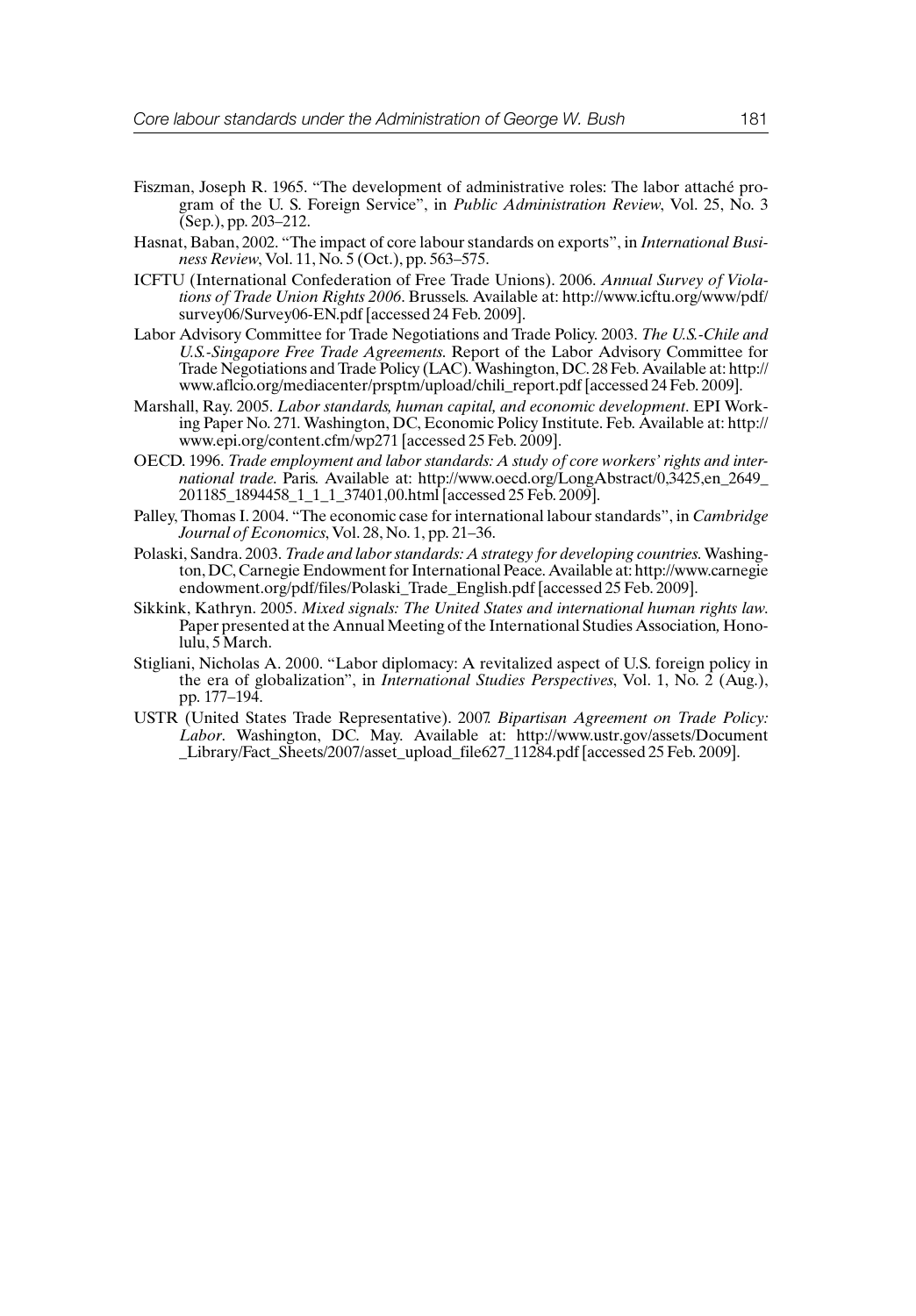- Fiszman, Joseph R. 1965. "The development of administrative roles: The labor attaché program of the U. S. Foreign Service"' in *Public Administration Review*, Vol. 25, No. 3 (Sep.), pp. 203–212.
- Hasnat, Baban, 2002. "The impact of core labour standards on exports"' in *International Business Review*, Vol. 11, No. 5 (Oct.), pp. 563–575.
- ICFTU (International Confederation of Free Trade Unions). 2006. *Annual Survey of Violations of Trade Union Rights 2006*. Brussels. Available at: [http://www.icftu.org/www/pdf/](http://www.icftu.org/www/pdf/survey06/Survey06-EN.pdf) [survey06/Survey06-EN.pdf](http://www.icftu.org/www/pdf/survey06/Survey06-EN.pdf) [accessed 24 Feb. 2009].
- Labor Advisory Committee for Trade Negotiations and Trade Policy. 2003. *The U.S.-Chile and U.S.-Singapore Free Trade Agreements*. Report of the Labor Advisory Committee for Trade Negotiations and Trade Policy (LAC). Washington, DC. 28 Feb. Available at: http:// www.aflcio.org/mediacenter/prsptm/upload/chili\_report.pdf [accessed 24 Feb. 2009].
- Marshall, Ray. 2005. *Labor standards, human capital, and economic development*. EPI Working Paper No. 271. Washington, DC, Economic Policy Institute. Feb. Available at: http:// www.epi.org/content.cfm/wp271 [accessed 25 Feb. 2009].
- OECD. 1996. *Trade employment and labor standards: A study of core workers' rights and international trade*. Paris. Available at: http://www.oecd.org/LongAbstract/0,3425,en\_2649\_ 201185\_1894458\_1\_1\_1\_37401,00.html [accessed 25 Feb. 2009].
- Palley, Thomas I. 2004. "The economic case for international labour standards"' in *Cambridge Journal of Economics*, Vol. 28, No. 1, pp. 21–36.
- Polaski, Sandra. 2003. *Trade and labor standards: A strategy for developing countries*. Washington, DC, Carnegie Endowment for International Peace. Available at: http://www.carnegie endowment.org/pdf/files/Polaski\_Trade\_English.pdf [accessed 25 Feb. 2009].
- Sikkink, Kathryn. 2005. *Mixed signals: The United States and international human rights law*. Paper presented at the Annual Meeting of the International Studies Association*,* Honolulu, 5 March.
- Stigliani, Nicholas A. 2000. "Labor diplomacy: A revitalized aspect of U.S. foreign policy in the era of globalization", in *International Studies Perspectives*, Vol. 1, No. 2 (Aug.), pp. 177–194.
- USTR (United States Trade Representative). 2007. *Bipartisan Agreement on Trade Policy: Labor*. Washington, DC. May. Available at: http://www.ustr.gov/assets/Document \_Library/Fact\_Sheets/2007/asset\_upload\_file627\_11284.pdf [accessed 25 Feb. 2009].